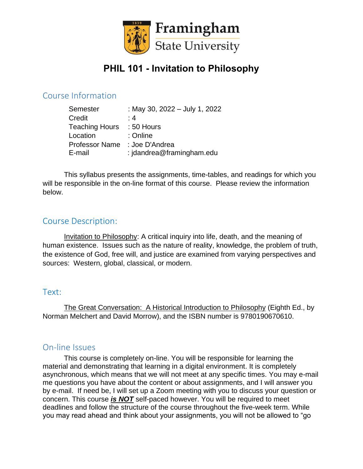

# **PHIL 101 - Invitation to Philosophy**

# Course Information

| Semester              | : May 30, 2022 - July 1, 2022 |
|-----------------------|-------------------------------|
| Credit                | : 4                           |
| <b>Teaching Hours</b> | $: 50$ Hours                  |
| Location              | : Online                      |
| <b>Professor Name</b> | : Joe D'Andrea                |
| E-mail                | : jdandrea@framingham.edu     |

This syllabus presents the assignments, time-tables, and readings for which you will be responsible in the on-line format of this course. Please review the information below.

# Course Description:

Invitation to Philosophy: A critical inquiry into life, death, and the meaning of human existence. Issues such as the nature of reality, knowledge, the problem of truth, the existence of God, free will, and justice are examined from varying perspectives and sources: Western, global, classical, or modern.

### Text:

The Great Conversation: A Historical Introduction to Philosophy (Eighth Ed., by Norman Melchert and David Morrow), and the ISBN number is 9780190670610.

### On-line Issues

This course is completely on-line. You will be responsible for learning the material and demonstrating that learning in a digital environment. It is completely asynchronous, which means that we will not meet at any specific times. You may e-mail me questions you have about the content or about assignments, and I will answer you by e-mail. If need be, I will set up a Zoom meeting with you to discuss your question or concern. This course *is NOT* self-paced however. You will be required to meet deadlines and follow the structure of the course throughout the five-week term. While you may read ahead and think about your assignments, you will not be allowed to "go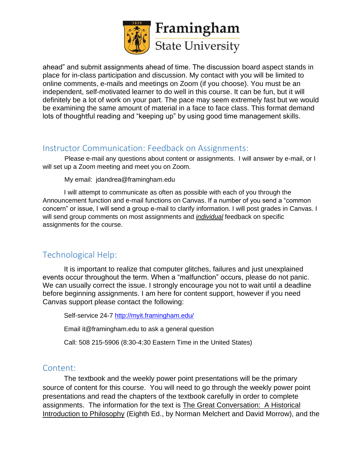

ahead" and submit assignments ahead of time. The discussion board aspect stands in place for in-class participation and discussion. My contact with you will be limited to online comments, e-mails and meetings on Zoom (if you choose). You must be an independent, self-motivated learner to do well in this course. It can be fun, but it will definitely be a lot of work on your part. The pace may seem extremely fast but we would be examining the same amount of material in a face to face class. This format demand lots of thoughtful reading and "keeping up" by using good time management skills.

### Instructor Communication: Feedback on Assignments:

 Please e-mail any questions about content or assignments. I will answer by e-mail, or I will set up a Zoom meeting and meet you on Zoom.

My email: jdandrea@framingham.edu

I will attempt to communicate as often as possible with each of you through the Announcement function and e-mail functions on Canvas. If a number of you send a "common concern" or issue, I will send a group e-mail to clarify information. I will post grades in Canvas. I will send group comments on most assignments and *individual* feedback on specific assignments for the course.

# Technological Help:

It is important to realize that computer glitches, failures and just unexplained events occur throughout the term. When a "malfunction" occurs, please do not panic. We can usually correct the issue. I strongly encourage you not to wait until a deadline before beginning assignments. I am here for content support, however if you need Canvas support please contact the following:

Self-service 24-7<http://myit.framingham.edu/>

Email it@framingham.edu to ask a general question

Call: 508 215-5906 (8:30-4:30 Eastern Time in the United States)

### Content:

The textbook and the weekly power point presentations will be the primary source of content for this course. You will need to go through the weekly power point presentations and read the chapters of the textbook carefully in order to complete assignments. The information for the text is The Great Conversation: A Historical Introduction to Philosophy (Eighth Ed., by Norman Melchert and David Morrow), and the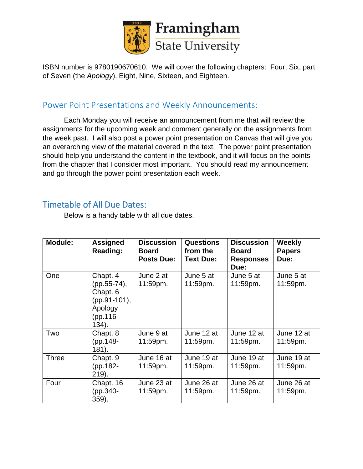

ISBN number is 9780190670610. We will cover the following chapters: Four, Six, part of Seven (the *Apology*), Eight, Nine, Sixteen, and Eighteen.

# Power Point Presentations and Weekly Announcements:

Each Monday you will receive an announcement from me that will review the assignments for the upcoming week and comment generally on the assignments from the week past. I will also post a power point presentation on Canvas that will give you an overarching view of the material covered in the text. The power point presentation should help you understand the content in the textbook, and it will focus on the points from the chapter that I consider most important. You should read my announcement and go through the power point presentation each week.

# Timetable of All Due Dates:

Below is a handy table with all due dates.

| Module:      | <b>Assigned</b><br><b>Reading:</b>                                                     | <b>Discussion</b><br><b>Board</b><br><b>Posts Due:</b> | <b>Questions</b><br>from the<br><b>Text Due:</b> | <b>Discussion</b><br><b>Board</b><br><b>Responses</b><br>Due: | <b>Weekly</b><br><b>Papers</b><br>Due: |
|--------------|----------------------------------------------------------------------------------------|--------------------------------------------------------|--------------------------------------------------|---------------------------------------------------------------|----------------------------------------|
| One          | Chapt. 4<br>(pp.55-74),<br>Chapt. 6<br>(pp.91-101),<br>Apology<br>(pp.116-<br>$134$ ). | June 2 at<br>11:59pm.                                  | June 5 at<br>11:59pm.                            | June 5 at<br>11:59pm.                                         | June 5 at<br>11:59pm.                  |
| Two          | Chapt. 8<br>(pp.148-<br>181).                                                          | June 9 at<br>$11:59$ pm.                               | June 12 at<br>$11:59$ pm.                        | June 12 at<br>11:59pm.                                        | June 12 at<br>$11:59$ pm.              |
| <b>Three</b> | Chapt. 9<br>(pp.182-<br>$219$ ).                                                       | June 16 at<br>11:59pm.                                 | June 19 at<br>11:59pm.                           | June 19 at<br>11:59pm.                                        | June 19 at<br>11:59pm.                 |
| Four         | Chapt. 16<br>(pp.340-<br>$359$ ).                                                      | June 23 at<br>11:59pm.                                 | June 26 at<br>11:59pm.                           | June 26 at<br>11:59pm.                                        | June 26 at<br>11:59pm.                 |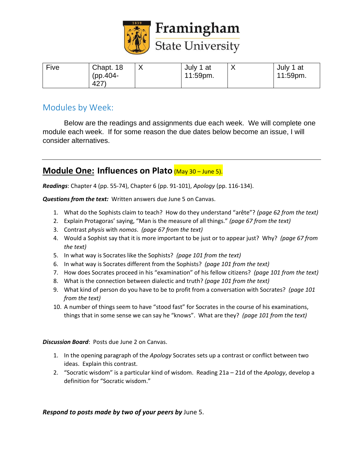

| Five | Chapt. 18  | July 1 at   | $\Lambda$ | July 1 at |
|------|------------|-------------|-----------|-----------|
|      | $(pp.404-$ | $11:59$ pm. |           | 11:59pm.  |
|      | 427        |             |           |           |

# Modules by Week:

Below are the readings and assignments due each week. We will complete one module each week. If for some reason the due dates below become an issue, I will consider alternatives.

# **Module One: Influences on Plato** (May 30 – June 5).

*Readings*: Chapter 4 (pp. 55-74), Chapter 6 (pp. 91-101), *Apology* (pp. 116-134).

*Questions from the text:* Written answers due June 5 on Canvas.

- 1. What do the Sophists claim to teach? How do they understand "arête"? *(page 62 from the text)*
- 2. Explain Protagoras' saying, "Man is the measure of all things." *(page 67 from the text)*
- 3. Contrast *physis* with *nomos*. *(page 67 from the text)*
- 4. Would a Sophist say that it is more important to be just or to appear just? Why? *(page 67 from the text)*
- 5. In what way is Socrates like the Sophists? *(page 101 from the text)*
- 6. In what way is Socrates different from the Sophists? *(page 101 from the text)*
- 7. How does Socrates proceed in his "examination" of his fellow citizens? *(page 101 from the text)*
- 8. What is the connection between dialectic and truth? *(page 101 from the text)*
- 9. What kind of person do you have to be to profit from a conversation with Socrates? *(page 101 from the text)*
- 10. A number of things seem to have "stood fast" for Socrates in the course of his examinations, things that in some sense we can say he "knows". What are they? *(page 101 from the text)*

*Discussion Board*: Posts due June 2 on Canvas.

- 1. In the opening paragraph of the *Apology* Socrates sets up a contrast or conflict between two ideas. Explain this contrast.
- 2. "Socratic wisdom" is a particular kind of wisdom. Reading 21a 21d of the *Apology*, develop a definition for "Socratic wisdom."

#### *Respond to posts made by two of your peers by* June 5.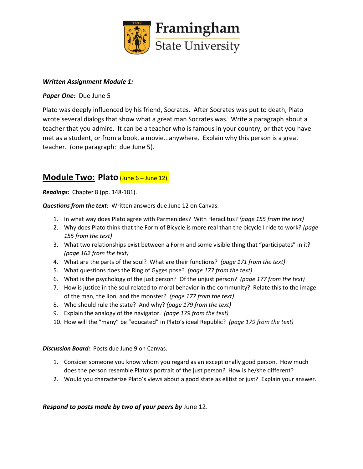

#### *Written Assignment Module 1:*

#### *Paper One:* Due June 5

Plato was deeply influenced by his friend, Socrates. After Socrates was put to death, Plato wrote several dialogs that show what a great man Socrates was. Write a paragraph about a teacher that you admire. It can be a teacher who is famous in your country, or that you have met as a student, or from a book, a movie...anywhere. Explain why this person is a great teacher. (one paragraph: due June 5).

# **Module Two: Plato** (June 6 – June 12).

*Readings:* Chapter 8 (pp. 148-181).

*Questions from the text:* Written answers due June 12 on Canvas.

- 1. In what way does Plato agree with Parmenides? With Heraclitus? *(page 155 from the text)*
- 2. Why does Plato think that the Form of Bicycle is more real than the bicycle I ride to work? *(page 155 from the text)*
- 3. What two relationships exist between a Form and some visible thing that "participates" in it? *(page 162 from the text)*
- 4. What are the parts of the soul? What are their functions? *(page 171 from the text)*
- 5. What questions does the Ring of Gyges pose? *(page 177 from the text)*
- 6. What is the psychology of the just person? Of the unjust person? *(page 177 from the text)*
- 7. How is justice in the soul related to moral behavior in the community? Relate this to the image of the man, the lion, and the monster? *(page 177 from the text)*
- 8. Who should rule the state? And why? *(page 179 from the text)*
- 9. Explain the analogy of the navigator. *(page 179 from the text)*
- 10. How will the "many" be "educated" in Plato's ideal Republic? *(page 179 from the text)*

*Discussion Board:* Posts due June 9 on Canvas.

- 1. Consider someone you know whom you regard as an exceptionally good person. How much does the person resemble Plato's portrait of the just person? How is he/she different?
- 2. Would you characterize Plato's views about a good state as elitist or just? Explain your answer.

#### *Respond to posts made by two of your peers by* June 12.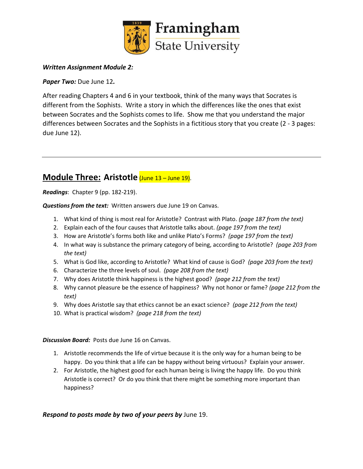

#### *Written Assignment Module 2:*

*Paper Two:* Due June 12*.*

After reading Chapters 4 and 6 in your textbook, think of the many ways that Socrates is different from the Sophists. Write a story in which the differences like the ones that exist between Socrates and the Sophists comes to life. Show me that you understand the major differences between Socrates and the Sophists in a fictitious story that you create (2 - 3 pages: due June 12).

# **Module Three: Aristotle** (June 13 – June 19).

*Readings*: Chapter 9 (pp. 182-219).

*Questions from the text:* Written answers due June 19 on Canvas.

- 1. What kind of thing is most real for Aristotle? Contrast with Plato. *(page 187 from the text)*
- 2. Explain each of the four causes that Aristotle talks about. *(page 197 from the text)*
- 3. How are Aristotle's forms both like and unlike Plato's Forms? *(page 197 from the text)*
- 4. In what way is substance the primary category of being, according to Aristotle? *(page 203 from the text)*
- 5. What is God like, according to Aristotle? What kind of cause is God? *(page 203 from the text)*
- 6. Characterize the three levels of soul. *(page 208 from the text)*
- 7. Why does Aristotle think happiness is the highest good? *(page 212 from the text)*
- 8. Why cannot pleasure be the essence of happiness? Why not honor or fame? *(page 212 from the text)*
- 9. Why does Aristotle say that ethics cannot be an exact science? *(page 212 from the text)*
- 10. What is practical wisdom? *(page 218 from the text)*

*Discussion Board:* Posts due June 16 on Canvas.

- 1. Aristotle recommends the life of virtue because it is the only way for a human being to be happy. Do you think that a life can be happy without being virtuous? Explain your answer.
- 2. For Aristotle, the highest good for each human being is living the happy life. Do you think Aristotle is correct? Or do you think that there might be something more important than happiness?

#### *Respond to posts made by two of your peers by* June 19.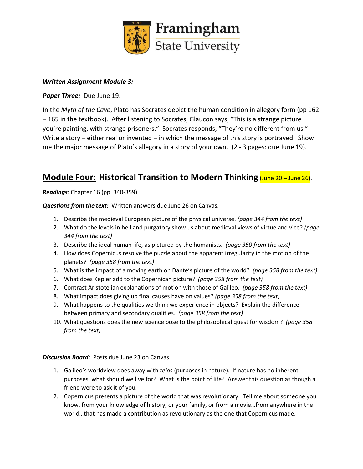

#### *Written Assignment Module 3:*

*Paper Three:* Due June 19.

In the *Myth of the Cave*, Plato has Socrates depict the human condition in allegory form (pp 162 – 165 in the textbook). After listening to Socrates, Glaucon says, "This is a strange picture you're painting, with strange prisoners." Socrates responds, "They're no different from us." Write a story – either real or invented – in which the message of this story is portrayed. Show me the major message of Plato's allegory in a story of your own. (2 - 3 pages: due June 19).

### **Module Four: Historical Transition to Modern Thinking (June 20 – June 26).**

*Readings*: Chapter 16 (pp. 340-359).

*Questions from the text:* Written answers due June 26 on Canvas.

- 1. Describe the medieval European picture of the physical universe. *(page 344 from the text)*
- 2. What do the levels in hell and purgatory show us about medieval views of virtue and vice? *(page 344 from the text)*
- 3. Describe the ideal human life, as pictured by the humanists. *(page 350 from the text)*
- 4. How does Copernicus resolve the puzzle about the apparent irregularity in the motion of the planets? *(page 358 from the text)*
- 5. What is the impact of a moving earth on Dante's picture of the world? *(page 358 from the text)*
- 6. What does Kepler add to the Copernican picture? *(page 358 from the text)*
- 7. Contrast Aristotelian explanations of motion with those of Galileo. *(page 358 from the text)*
- 8. What impact does giving up final causes have on values? *(page 358 from the text)*
- 9. What happens to the qualities we think we experience in objects? Explain the difference between primary and secondary qualities. *(page 358 from the text)*
- 10. What questions does the new science pose to the philosophical quest for wisdom? *(page 358 from the text)*

*Discussion Board*: Posts due June 23 on Canvas.

- 1. Galileo's worldview does away with *telos* (purposes in nature). If nature has no inherent purposes, what should we live for? What is the point of life? Answer this question as though a friend were to ask it of you.
- 2. Copernicus presents a picture of the world that was revolutionary. Tell me about someone you know, from your knowledge of history, or your family, or from a movie…from anywhere in the world…that has made a contribution as revolutionary as the one that Copernicus made.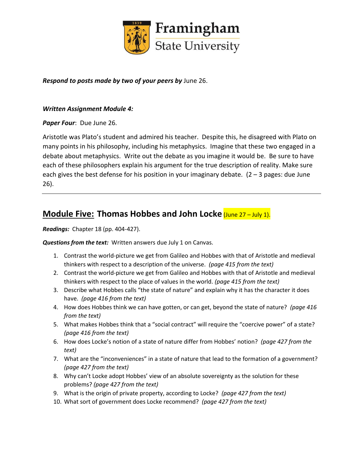

#### *Respond to posts made by two of your peers by* June 26.

#### *Written Assignment Module 4:*

#### *Paper Four*: Due June 26.

Aristotle was Plato's student and admired his teacher. Despite this, he disagreed with Plato on many points in his philosophy, including his metaphysics. Imagine that these two engaged in a debate about metaphysics. Write out the debate as you imagine it would be. Be sure to have each of these philosophers explain his argument for the true description of reality. Make sure each gives the best defense for his position in your imaginary debate.  $(2 - 3)$  pages: due June 26).

### **Module Five: Thomas Hobbes and John Locke (June 27 – July 1).**

*Readings:* Chapter 18 (pp. 404-427).

*Questions from the text:* Written answers due July 1 on Canvas.

- 1. Contrast the world-picture we get from Galileo and Hobbes with that of Aristotle and medieval thinkers with respect to a description of the universe. *(page 415 from the text)*
- 2. Contrast the world-picture we get from Galileo and Hobbes with that of Aristotle and medieval thinkers with respect to the place of values in the world. *(page 415 from the text)*
- 3. Describe what Hobbes calls "the state of nature" and explain why it has the character it does have. *(page 416 from the text)*
- 4. How does Hobbes think we can have gotten, or can get, beyond the state of nature? *(page 416 from the text)*
- 5. What makes Hobbes think that a "social contract" will require the "coercive power" of a state? *(page 416 from the text)*
- 6. How does Locke's notion of a state of nature differ from Hobbes' notion? *(page 427 from the text)*
- 7. What are the "inconveniences" in a state of nature that lead to the formation of a government? *(page 427 from the text)*
- 8. Why can't Locke adopt Hobbes' view of an absolute sovereignty as the solution for these problems? *(page 427 from the text)*
- 9. What is the origin of private property, according to Locke? *(page 427 from the text)*
- 10. What sort of government does Locke recommend? *(page 427 from the text)*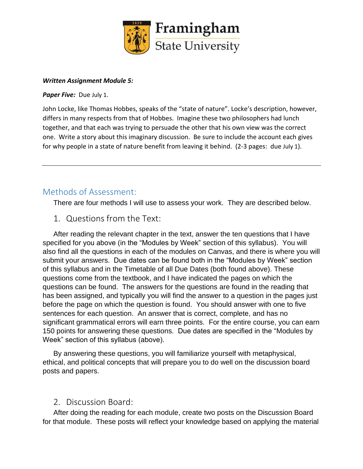

#### *Written Assignment Module 5:*

*Paper Five:* Due July 1.

John Locke, like Thomas Hobbes, speaks of the "state of nature". Locke's description, however, differs in many respects from that of Hobbes. Imagine these two philosophers had lunch together, and that each was trying to persuade the other that his own view was the correct one. Write a story about this imaginary discussion. Be sure to include the account each gives for why people in a state of nature benefit from leaving it behind. (2-3 pages: due July 1).

# Methods of Assessment:

There are four methods I will use to assess your work. They are described below.

### 1. Questions from the Text:

After reading the relevant chapter in the text, answer the ten questions that I have specified for you above (in the "Modules by Week" section of this syllabus). You will also find all the questions in each of the modules on Canvas, and there is where you will submit your answers. Due dates can be found both in the "Modules by Week" section of this syllabus and in the Timetable of all Due Dates (both found above). These questions come from the textbook, and I have indicated the pages on which the questions can be found. The answers for the questions are found in the reading that has been assigned, and typically you will find the answer to a question in the pages just before the page on which the question is found. You should answer with one to five sentences for each question. An answer that is correct, complete, and has no significant grammatical errors will earn three points. For the entire course, you can earn 150 points for answering these questions. Due dates are specified in the "Modules by Week" section of this syllabus (above).

By answering these questions, you will familiarize yourself with metaphysical, ethical, and political concepts that will prepare you to do well on the discussion board posts and papers.

### 2. Discussion Board:

After doing the reading for each module, create two posts on the Discussion Board for that module. These posts will reflect your knowledge based on applying the material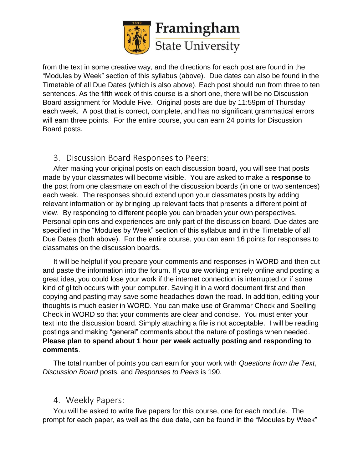

from the text in some creative way, and the directions for each post are found in the "Modules by Week" section of this syllabus (above). Due dates can also be found in the Timetable of all Due Dates (which is also above). Each post should run from three to ten sentences. As the fifth week of this course is a short one, there will be no Discussion Board assignment for Module Five. Original posts are due by 11:59pm of Thursday each week. A post that is correct, complete, and has no significant grammatical errors will earn three points. For the entire course, you can earn 24 points for Discussion Board posts.

### 3. Discussion Board Responses to Peers:

After making your original posts on each discussion board, you will see that posts made by your classmates will become visible. You are asked to make a **response** to the post from one classmate on each of the discussion boards (in one or two sentences) each week. The responses should extend upon your classmates posts by adding relevant information or by bringing up relevant facts that presents a different point of view. By responding to different people you can broaden your own perspectives. Personal opinions and experiences are only part of the discussion board. Due dates are specified in the "Modules by Week" section of this syllabus and in the Timetable of all Due Dates (both above). For the entire course, you can earn 16 points for responses to classmates on the discussion boards.

It will be helpful if you prepare your comments and responses in WORD and then cut and paste the information into the forum. If you are working entirely online and posting a great idea, you could lose your work if the internet connection is interrupted or if some kind of glitch occurs with your computer. Saving it in a word document first and then copying and pasting may save some headaches down the road. In addition, editing your thoughts is much easier in WORD. You can make use of Grammar Check and Spelling Check in WORD so that your comments are clear and concise. You must enter your text into the discussion board. Simply attaching a file is not acceptable. I will be reading postings and making "general" comments about the nature of postings when needed. **Please plan to spend about 1 hour per week actually posting and responding to comments**.

The total number of points you can earn for your work with *Questions from the Text*, *Discussion Board* posts, and *Responses to Peers* is 190.

### 4. Weekly Papers:

You will be asked to write five papers for this course, one for each module. The prompt for each paper, as well as the due date, can be found in the "Modules by Week"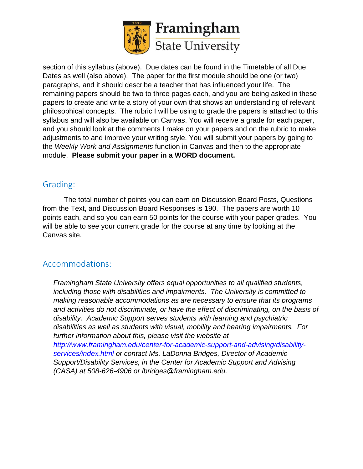

section of this syllabus (above). Due dates can be found in the Timetable of all Due Dates as well (also above). The paper for the first module should be one (or two) paragraphs, and it should describe a teacher that has influenced your life. The remaining papers should be two to three pages each, and you are being asked in these papers to create and write a story of your own that shows an understanding of relevant philosophical concepts. The rubric I will be using to grade the papers is attached to this syllabus and will also be available on Canvas. You will receive a grade for each paper, and you should look at the comments I make on your papers and on the rubric to make adjustments to and improve your writing style. You will submit your papers by going to the *Weekly Work and Assignments* function in Canvas and then to the appropriate module. **Please submit your paper in a WORD document.**

# Grading:

The total number of points you can earn on Discussion Board Posts, Questions from the Text, and Discussion Board Responses is 190. The papers are worth 10 points each, and so you can earn 50 points for the course with your paper grades. You will be able to see your current grade for the course at any time by looking at the Canvas site.

# Accommodations:

*Framingham State University offers equal opportunities to all qualified students, including those with disabilities and impairments. The University is committed to making reasonable accommodations as are necessary to ensure that its programs and activities do not discriminate, or have the effect of discriminating, on the basis of disability. Academic Support serves students with learning and psychiatric disabilities as well as students with visual, mobility and hearing impairments. For further information about this, please visit the website at [http://www.framingham.edu/center-for-academic-support-and-advising/disability](http://www.framingham.edu/center-for-academic-support-and-advising/disability-services/index.html)[services/index.html](http://www.framingham.edu/center-for-academic-support-and-advising/disability-services/index.html) or contact Ms. LaDonna Bridges, Director of Academic Support/Disability Services, in the Center for Academic Support and Advising (CASA) at 508-626-4906 or lbridges@framingham.edu.*